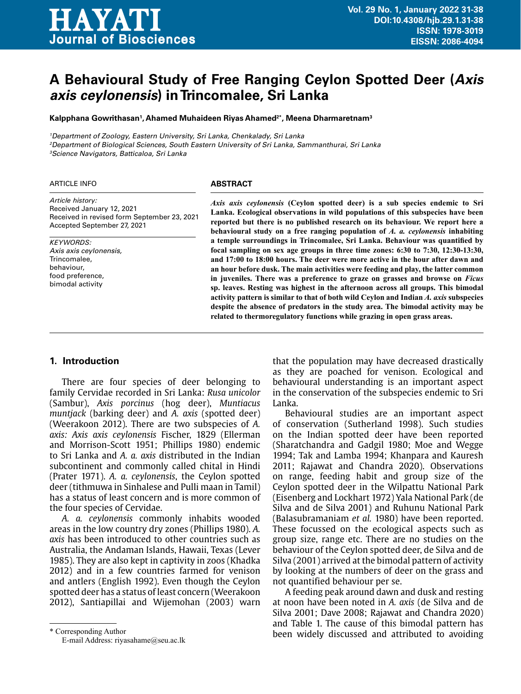# **HAYATI** Journal of Biosciences

Received in revised form September 23, 2021

Accepted September 27, 2021

# **A Behavioural Study of Free Ranging Ceylon Spotted Deer (Axis axis ceylonensis) in Trincomalee, Sri Lanka**

**Kalpphana Gowrithasan1 , Ahamed Muhaideen Riyas Ahamed2\*, Meena Dharmaretnam3**

<sup>1</sup>Department of Zoology, Eastern University, Sri Lanka, Chenkalady, Sri Lanka

<sup>2</sup>Department of Biological Sciences, South Eastern University of Sri Lanka, Sammanthurai, Sri Lanka <sup>3</sup>Science Navigators, Batticaloa, Sri Lanka

# ARTICLE INFO *Article history:*

*KEYWORDS:* Axis axis ceylonensis, Trincomalee, behaviour, food preference, bimodal activity

Received January 12, 2021

#### **ABSTRACT**

*Axis axis ceylonensis* **(Ceylon spotted deer) is a sub species endemic to Sri Lanka. Ecological observations in wild populations of this subspecies have been reported but there is no published research on its behaviour. We report here a behavioural study on a free ranging population of** *A. a. ceylonensis* **inhabiting a temple surroundings in Trincomalee, Sri Lanka. Behaviour was quantified by focal sampling on sex age groups in three time zones: 6:30 to 7:30, 12:30-13:30, and 17:00 to 18:00 hours. The deer were more active in the hour after dawn and an hour before dusk. The main activities were feeding and play, the latter common in juveniles. There was a preference to graze on grasses and browse on** *Ficus* **sp. leaves. Resting was highest in the afternoon across all groups. This bimodal activity pattern is similar to that of both wild Ceylon and Indian** *A. axis* **subspecies despite the absence of predators in the study area. The bimodal activity may be related to thermoregulatory functions while grazing in open grass areas.**

## **1. Introduction**

There are four species of deer belonging to family Cervidae recorded in Sri Lanka: *Rusa unicolor* (Sambur), *Axis porcinus* (hog deer), *Muntiacus muntjack* (barking deer) and *A. axis* (spotted deer) (Weerakoon 2012). There are two subspecies of *A. axis: Axis axis ceylonensis* Fischer, 1829 (Ellerman and Morrison-Scott 1951; Phillips 1980) endemic to Sri Lanka and *A. a. axis* distributed in the Indian subcontinent and commonly called chital in Hindi (Prater 1971). *A. a. ceylonensis*, the Ceylon spotted deer (tithmuwa in Sinhalese and Pulli maan in Tamil) has a status of least concern and is more common of the four species of Cervidae.

*A. a. ceylonensis* commonly inhabits wooded areas in the low country dry zones (Phillips 1980). *A. axis* has been introduced to other countries such as Australia, the Andaman Islands, Hawaii, Texas (Lever 1985). They are also kept in captivity in zoos (Khadka 2012) and in a few countries farmed for venison and antlers (English 1992). Even though the Ceylon spotted deer has a status of least concern (Weerakoon 2012), Santiapillai and Wijemohan (2003) warn

that the population may have decreased drastically as they are poached for venison. Ecological and behavioural understanding is an important aspect in the conservation of the subspecies endemic to Sri Lanka.

Behavioural studies are an important aspect of conservation (Sutherland 1998). Such studies on the Indian spotted deer have been reported (Sharatchandra and Gadgil 1980; Moe and Wegge 1994; Tak and Lamba 1994; Khanpara and Kauresh 2011; Rajawat and Chandra 2020). Observations on range, feeding habit and group size of the Ceylon spotted deer in the Wilpattu National Park (Eisenberg and Lockhart 1972) Yala National Park (de Silva and de Silva 2001) and Ruhunu National Park (Balasubramaniam *et al.* 1980) have been reported. These focussed on the ecological aspects such as group size, range etc. There are no studies on the behaviour of the Ceylon spotted deer, de Silva and de Silva (2001) arrived at the bimodal pattern of activity by looking at the numbers of deer on the grass and not quantified behaviour per se.

A feeding peak around dawn and dusk and resting at noon have been noted in *A. axis* (de Silva and de Silva 2001; Dave 2008; Rajawat and Chandra 2020) and Table 1. The cause of this bimodal pattern has been widely discussed and attributed to avoiding

<sup>\*</sup> Corresponding Author

E-mail Address: riyasahame@seu.ac.lk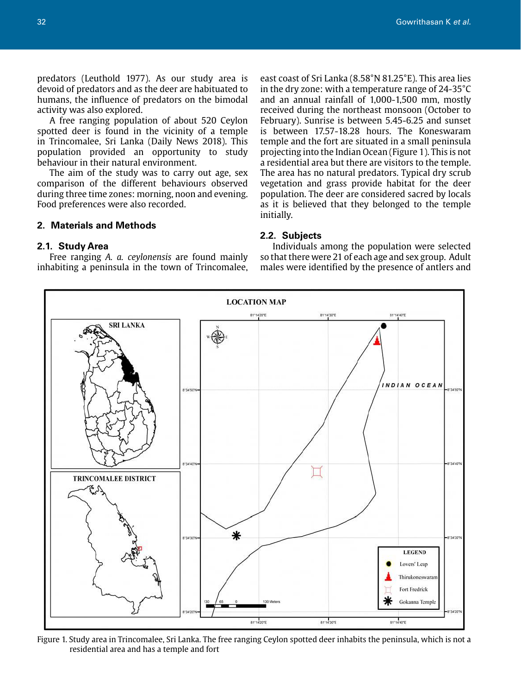predators (Leuthold 1977). As our study area is devoid of predators and as the deer are habituated to humans, the influence of predators on the bimodal activity was also explored.

A free ranging population of about 520 Ceylon spotted deer is found in the vicinity of a temple in Trincomalee, Sri Lanka (Daily News 2018). This population provided an opportunity to study behaviour in their natural environment.

The aim of the study was to carry out age, sex comparison of the different behaviours observed during three time zones: morning, noon and evening. Food preferences were also recorded.

## **2. Materials and Methods**

#### **2.1. Study Area**

Free ranging *A. a. ceylonensis* are found mainly inhabiting a peninsula in the town of Trincomalee, east coast of Sri Lanka (8.58°N 81.25°E). This area lies in the dry zone: with a temperature range of 24-35°C and an annual rainfall of 1,000-1,500 mm, mostly received during the northeast monsoon (October to February). Sunrise is between 5.45-6.25 and sunset is between 17.57-18.28 hours. The Koneswaram temple and the fort are situated in a small peninsula projecting into the Indian Ocean (Figure 1). This is not a residential area but there are visitors to the temple. The area has no natural predators. Typical dry scrub vegetation and grass provide habitat for the deer population. The deer are considered sacred by locals as it is believed that they belonged to the temple initially.

# **2.2. Subjects**

Individuals among the population were selected so that there were 21 of each age and sex group. Adult males were identified by the presence of antlers and



Figure 1. Study area in Trincomalee, Sri Lanka. The free ranging Ceylon spotted deer inhabits the peninsula, which is not a residential area and has a temple and fort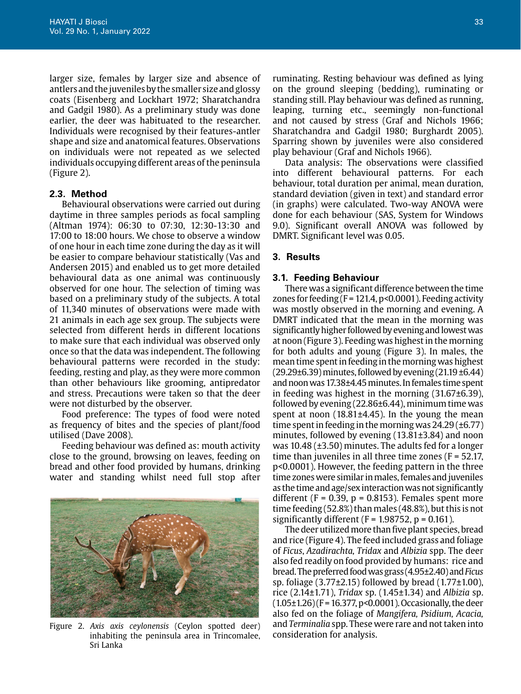larger size, females by larger size and absence of antlers and the juveniles by the smaller size and glossy coats (Eisenberg and Lockhart 1972; Sharatchandra and Gadgil 1980). As a preliminary study was done earlier, the deer was habituated to the researcher. Individuals were recognised by their features-antler shape and size and anatomical features. Observations on individuals were not repeated as we selected individuals occupying different areas of the peninsula (Figure 2).

# **2.3. Method**

Behavioural observations were carried out during daytime in three samples periods as focal sampling (Altman 1974): 06:30 to 07:30, 12:30-13:30 and 17:00 to 18:00 hours. We chose to observe a window of one hour in each time zone during the day as it will be easier to compare behaviour statistically (Vas and Andersen 2015) and enabled us to get more detailed behavioural data as one animal was continuously observed for one hour. The selection of timing was based on a preliminary study of the subjects. A total of 11,340 minutes of observations were made with 21 animals in each age sex group. The subjects were selected from different herds in different locations to make sure that each individual was observed only once so that the data was independent. The following behavioural patterns were recorded in the study: feeding, resting and play, as they were more common than other behaviours like grooming, antipredator and stress. Precautions were taken so that the deer were not disturbed by the observer.

Food preference: The types of food were noted as frequency of bites and the species of plant/food utilised (Dave 2008).

Feeding behaviour was defined as: mouth activity close to the ground, browsing on leaves, feeding on bread and other food provided by humans, drinking water and standing whilst need full stop after



Figure 2. *Axis axis ceylonensis* (Ceylon spotted deer) inhabiting the peninsula area in Trincomalee, Sri Lanka

ruminating. Resting behaviour was defined as lying on the ground sleeping (bedding), ruminating or standing still. Play behaviour was defined as running, leaping, turning etc., seemingly non-functional and not caused by stress (Graf and Nichols 1966; Sharatchandra and Gadgil 1980; Burghardt 2005). Sparring shown by juveniles were also considered play behaviour (Graf and Nichols 1966).

Data analysis: The observations were classified into different behavioural patterns. For each behaviour, total duration per animal, mean duration, standard deviation (given in text) and standard error (in graphs) were calculated. Two-way ANOVA were done for each behaviour (SAS, System for Windows 9.0). Significant overall ANOVA was followed by DMRT. Significant level was 0.05.

#### **3. Results**

# **3.1. Feeding Behaviour**

There was a significant difference between the time zones for feeding ( $F = 121.4$ ,  $p < 0.0001$ ). Feeding activity was mostly observed in the morning and evening. A DMRT indicated that the mean in the morning was significantly higher followed by evening and lowest was at noon (Figure 3). Feeding was highest in the morning for both adults and young (Figure 3). In males, the mean time spent in feeding in the morning was highest  $(29.29\pm6.39)$  minutes, followed by evening  $(21.19\pm6.44)$ and noon was 17.38±4.45 minutes. In females time spent in feeding was highest in the morning (31.67±6.39), followed by evening  $(22.86±6.44)$ , minimum time was spent at noon  $(18.81 \pm 4.45)$ . In the young the mean time spent in feeding in the morning was  $24.29(\pm 6.77)$ minutes, followed by evening (13.81±3.84) and noon was 10.48 (±3.50) minutes. The adults fed for a longer time than juveniles in all three time zones ( $F = 52.17$ , p<0.0001). However, the feeding pattern in the three time zones were similar in males, females and juveniles as the time and age/sex interaction was not significantly different ( $F = 0.39$ ,  $p = 0.8153$ ). Females spent more time feeding (52.8%) than males (48.8%), but this is not significantly different ( $F = 1.98752$ ,  $p = 0.161$ ).

The deer utilized more than five plant species, bread and rice (Figure 4). The feed included grass and foliage of *Ficus*, *Azadirachta, Tridax* and *Albizia* spp. The deer also fed readily on food provided by humans: rice and bread. The preferred food was grass (4.95±2.40) and *Ficus* sp. foliage  $(3.77\pm2.15)$  followed by bread  $(1.77\pm1.00)$ , rice (2.14±1.71), *Tridax* sp. (1.45±1.34) and *Albizia* sp.  $(1.05\pm1.26)$  (F = 16.377, p<0.0001). Occasionally, the deer also fed on the foliage of *Mangifera, Psidium, Acacia,* and *Terminalia* spp. These were rare and not taken into consideration for analysis.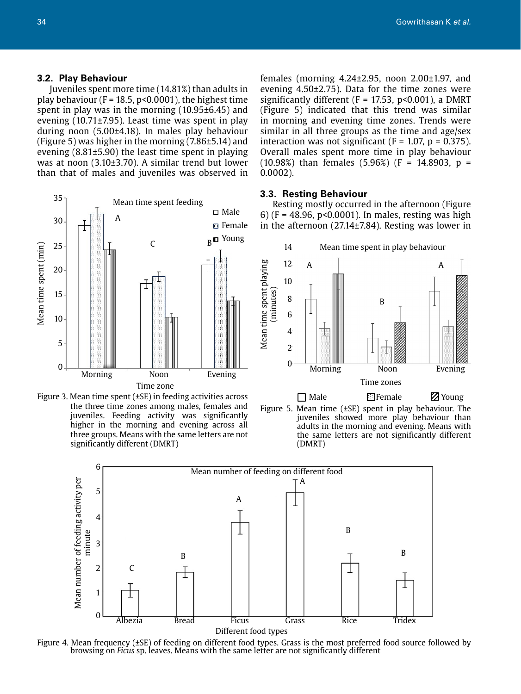#### **3.2. Play Behaviour**

Juveniles spent more time (14.81%) than adults in play behaviour ( $F = 18.5$ ,  $p < 0.0001$ ), the highest time spent in play was in the morning (10.95±6.45) and evening (10.71±7.95). Least time was spent in play during noon (5.00±4.18). In males play behaviour (Figure 5) was higher in the morning (7.86±5.14) and evening (8.81±5.90) the least time spent in playing was at noon (3.10±3.70). A similar trend but lower than that of males and juveniles was observed in





females (morning 4.24±2.95, noon 2.00±1.97, and evening 4.50±2.75). Data for the time zones were significantly different ( $F = 17.53$ ,  $p < 0.001$ ), a DMRT (Figure 5) indicated that this trend was similar in morning and evening time zones. Trends were similar in all three groups as the time and age/sex interaction was not significant ( $F = 1.07$ ,  $p = 0.375$ ). Overall males spent more time in play behaviour (10.98%) than females (5.96%) ( $F = 14.8903$ ,  $p =$ 0.0002).

#### **3.3. Resting Behaviour**

Resting mostly occurred in the afternoon (Figure 6) ( $F = 48.96$ ,  $p < 0.0001$ ). In males, resting was high in the afternoon (27.14±7.84). Resting was lower in







Figure 4. Mean frequency (±SE) of feeding on different food types. Grass is the most preferred food source followed by browsing on *Ficus* sp. leaves. Means with the same letter are not significantly different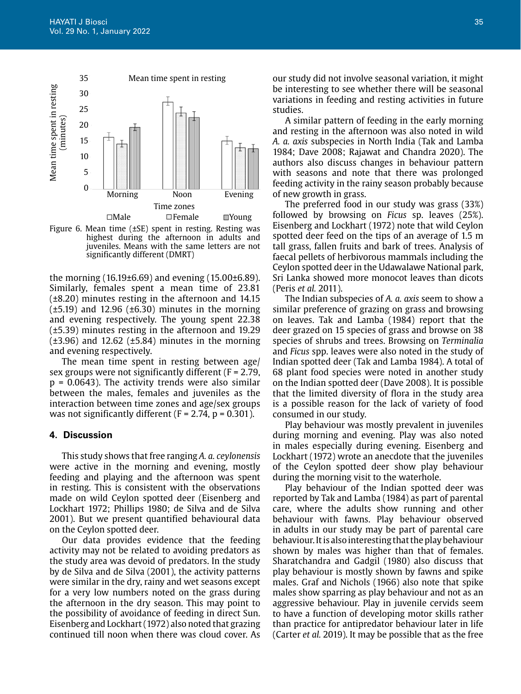

Figure 6. Mean time (±SE) spent in resting. Resting was highest during the afternoon in adults and juveniles. Means with the same letters are not significantly different (DMRT)

the morning (16.19±6.69) and evening (15.00±6.89). Similarly, females spent a mean time of 23.81 (±8.20) minutes resting in the afternoon and 14.15  $(\pm 5.19)$  and 12.96 ( $\pm 6.30$ ) minutes in the morning and evening respectively. The young spent 22.38 (±5.39) minutes resting in the afternoon and 19.29  $(\pm 3.96)$  and 12.62  $(\pm 5.84)$  minutes in the morning and evening respectively.

The mean time spent in resting between age/ sex groups were not significantly different  $(F = 2.79)$ ,  $p = 0.0643$ ). The activity trends were also similar between the males, females and juveniles as the interaction between time zones and age/sex groups was not significantly different  $(F = 2.74, p = 0.301)$ .

## **4. Discussion**

This study shows that free ranging *A. a. ceylonensis* were active in the morning and evening, mostly feeding and playing and the afternoon was spent in resting. This is consistent with the observations made on wild Ceylon spotted deer (Eisenberg and Lockhart 1972; Phillips 1980; de Silva and de Silva 2001). But we present quantified behavioural data on the Ceylon spotted deer.

Our data provides evidence that the feeding activity may not be related to avoiding predators as the study area was devoid of predators. In the study by de Silva and de Silva (2001), the activity patterns were similar in the dry, rainy and wet seasons except for a very low numbers noted on the grass during the afternoon in the dry season. This may point to the possibility of avoidance of feeding in direct Sun. Eisenberg and Lockhart (1972) also noted that grazing continued till noon when there was cloud cover. As

our study did not involve seasonal variation, it might be interesting to see whether there will be seasonal variations in feeding and resting activities in future studies.

A similar pattern of feeding in the early morning and resting in the afternoon was also noted in wild *A. a. axis* subspecies in North India (Tak and Lamba 1984; Dave 2008; Rajawat and Chandra 2020). The authors also discuss changes in behaviour pattern with seasons and note that there was prolonged feeding activity in the rainy season probably because of new growth in grass.

The preferred food in our study was grass (33%) followed by browsing on *Ficus* sp. leaves (25%). Eisenberg and Lockhart (1972) note that wild Ceylon spotted deer feed on the tips of an average of 1.5 m tall grass, fallen fruits and bark of trees. Analysis of faecal pellets of herbivorous mammals including the Ceylon spotted deer in the Udawalawe National park, Sri Lanka showed more monocot leaves than dicots (Peris *et al.* 2011).

The Indian subspecies of *A. a. axis* seem to show a similar preference of grazing on grass and browsing on leaves. Tak and Lamba (1984) report that the deer grazed on 15 species of grass and browse on 38 species of shrubs and trees. Browsing on *Terminalia* and *Ficus* spp. leaves were also noted in the study of Indian spotted deer (Tak and Lamba 1984). A total of 68 plant food species were noted in another study on the Indian spotted deer (Dave 2008). It is possible that the limited diversity of flora in the study area is a possible reason for the lack of variety of food consumed in our study.

Play behaviour was mostly prevalent in juveniles during morning and evening. Play was also noted in males especially during evening. Eisenberg and Lockhart (1972) wrote an anecdote that the juveniles of the Ceylon spotted deer show play behaviour during the morning visit to the waterhole.

Play behaviour of the Indian spotted deer was reported by Tak and Lamba (1984) as part of parental care, where the adults show running and other behaviour with fawns. Play behaviour observed in adults in our study may be part of parental care behaviour. It is also interesting that the play behaviour shown by males was higher than that of females. Sharatchandra and Gadgil (1980) also discuss that play behaviour is mostly shown by fawns and spike males. Graf and Nichols (1966) also note that spike males show sparring as play behaviour and not as an aggressive behaviour. Play in juvenile cervids seem to have a function of developing motor skills rather than practice for antipredator behaviour later in life (Carter *et al.* 2019). It may be possible that as the free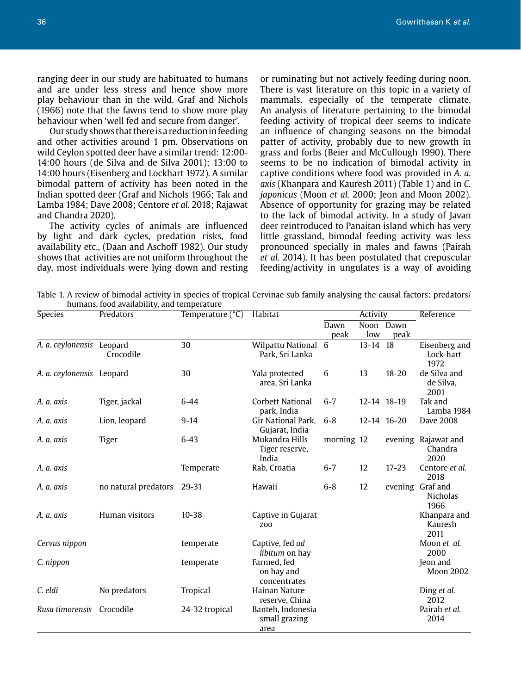ranging deer in our study are habituated to humans and are under less stress and hence show more play behaviour than in the wild. Graf and Nichols (1966) note that the fawns tend to show more play behaviour when 'well fed and secure from danger'.

Our study shows that there is a reduction in feeding and other activities around 1 pm. Observations on wild Ceylon spotted deer have a similar trend: 12:00- 14:00 hours (de Silva and de Silva 2001); 13:00 to 14:00 hours (Eisenberg and Lockhart 1972). A similar bimodal pattern of activity has been noted in the Indian spotted deer (Graf and Nichols 1966; Tak and Lamba 1984; Dave 2008; Centore *et al.* 2018; Rajawat and Chandra 2020).

The activity cycles of animals are influenced by light and dark cycles, predation risks, food availability etc., (Daan and Aschoff 1982). Our study shows that activities are not uniform throughout the day, most individuals were lying down and resting

or ruminating but not actively feeding during noon. There is vast literature on this topic in a variety of mammals, especially of the temperate climate. An analysis of literature pertaining to the bimodal feeding activity of tropical deer seems to indicate an influence of changing seasons on the bimodal patter of activity, probably due to new growth in grass and forbs (Beier and McCullough 1990). There seems to be no indication of bimodal activity in captive conditions where food was provided in *A. a. axis* (Khanpara and Kauresh 2011) (Table 1) and in *C. japonicus* (Moon *et al.* 2000; Jeon and Moon 2002). Absence of opportunity for grazing may be related to the lack of bimodal activity. In a study of Javan deer reintroduced to Panaitan island which has very little grassland, bimodal feeding activity was less pronounced specially in males and fawns (Pairah *et al.* 2014). It has been postulated that crepuscular feeding/activity in ungulates is a way of avoiding

Table 1. A review of bimodal activity in species of tropical Cervinae sub family analysing the causal factors: predators/ humans, food availability, and temperature

| Species                   | Predators            | Temperature $(^{\circ}C)$ | Habitat                                    | Activity   |          |             | Reference                              |
|---------------------------|----------------------|---------------------------|--------------------------------------------|------------|----------|-------------|----------------------------------------|
|                           |                      |                           |                                            | Dawn       |          | Noon Dawn   |                                        |
|                           |                      |                           |                                            | peak       | low      | peak        |                                        |
| A. a. ceylonensis Leopard | Crocodile            | 30                        | Wilpattu National 6<br>Park, Sri Lanka     |            | 13-14 18 |             | Eisenberg and<br>Lock-hart<br>1972     |
| A. a. ceylonensis Leopard |                      | 30                        | Yala protected<br>area, Sri Lanka          | 6          | 13       | $18 - 20$   | de Silva and<br>de Silva,<br>2001      |
| A. a. axis                | Tiger, jackal        | $6 - 44$                  | Corbett National<br>park, India            | $6 - 7$    |          | 12-14 18-19 | Tak and<br>Lamba 1984                  |
| A. a. axis                | Lion, leopard        | $9 - 14$                  | Gir National Park,<br>Gujarat, India       | $6 - 8$    |          | 12-14 16-20 | Dave 2008                              |
| A. a. axis                | Tiger                | $6 - 43$                  | Mukandra Hills<br>Tiger reserve,<br>India  | morning 12 |          |             | evening Rajawat and<br>Chandra<br>2020 |
| A. a. axis                |                      | Temperate                 | Rab, Croatia                               | $6 - 7$    | 12       | $17 - 23$   | Centore et al.<br>2018                 |
| A. a. axis                | no natural predators | 29-31                     | Hawaii                                     | $6-8$      | 12       |             | evening Graf and<br>Nicholas<br>1966   |
| A. a. axis                | Human visitors       | $10 - 38$                 | Captive in Gujarat<br><b>ZOO</b>           |            |          |             | Khanpara and<br>Kauresh<br>2011        |
| Cervus nippon             |                      | temperate                 | Captive, fed ad<br>libitum on hay          |            |          |             | Moon et al.<br>2000                    |
| C. nippon                 |                      | temperate                 | Farmed, fed<br>on hay and<br>concentrates  |            |          |             | Jeon and<br><b>Moon 2002</b>           |
| C. eldi                   | No predators         | Tropical                  | Hainan Nature<br>reserve, China            |            |          |             | Ding et al.<br>2012                    |
| Rusa timorensis           | Crocodile            | 24-32 tropical            | Banteh, Indonesia<br>small grazing<br>area |            |          |             | Pairah et al.<br>2014                  |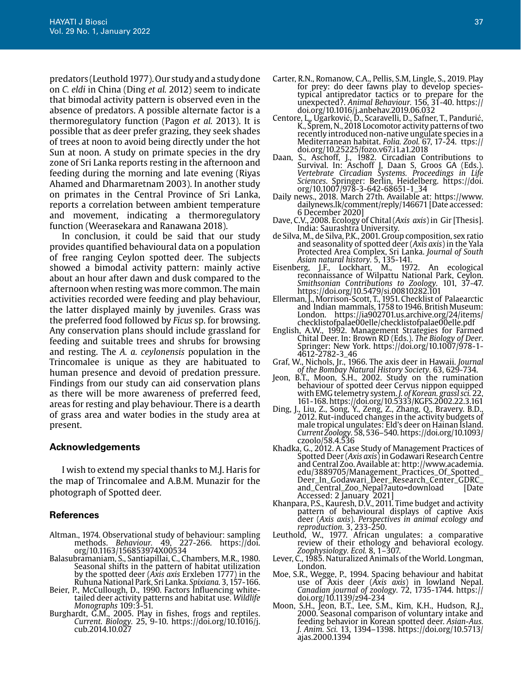predators (Leuthold 1977). Our study and a study done on *C. eldi* in China (Ding *et al.* 2012) seem to indicate that bimodal activity pattern is observed even in the absence of predators. A possible alternate factor is a thermoregulatory function (Pagon *et al.* 2013). It is possible that as deer prefer grazing, they seek shades of trees at noon to avoid being directly under the hot Sun at noon. A study on primate species in the dry zone of Sri Lanka reports resting in the afternoon and feeding during the morning and late evening (Riyas Ahamed and Dharmaretnam 2003). In another study on primates in the Central Province of Sri Lanka, reports a correlation between ambient temperature and movement, indicating a thermoregulatory function (Weerasekara and Ranawana 2018).

In conclusion, it could be said that our study provides quantified behavioural data on a population of free ranging Ceylon spotted deer. The subjects showed a bimodal activity pattern: mainly active about an hour after dawn and dusk compared to the afternoon when resting was more common. The main activities recorded were feeding and play behaviour, the latter displayed mainly by juveniles. Grass was the preferred food followed by *Ficus* sp. for browsing. Any conservation plans should include grassland for feeding and suitable trees and shrubs for browsing and resting. The *A. a. ceylonensis* population in the Trincomalee is unique as they are habituated to human presence and devoid of predation pressure. Findings from our study can aid conservation plans as there will be more awareness of preferred feed, areas for resting and play behaviour. There is a dearth of grass area and water bodies in the study area at present.

#### **Acknowledgements**

I wish to extend my special thanks to M.J. Haris for the map of Trincomalee and A.B.M. Munazir for the photograph of Spotted deer.

## **References**

- Altman., 1974. Observational study of behaviour: sampling methods. *Behaviour.* 49, 227-266. https://doi. org/10.1163/156853974X00534
- Balasubramaniam, S., Santiapillai, C., Chambers, M.R., 1980. Seasonal shifts in the pattern of habitat utilization by the spotted deer (*Axis axis* Erxleben 1777) in the Ruhuna National Park, Sri Lanka. *Spixiana.* 3, 157-166.
- Beier, P., McCullough, D., 1990. Factors Influencing whitetailed deer activity patterns and habitat use. *Wildlife Monographs* 109:3-51.
- Burghardt, G.M., 2005. Play in fishes, frogs and reptiles. *Current. Biology.* 25, 9-10. https://doi.org/10.1016/j. cub.2014.10.027
- Carter, R.N., Romanow, C.A., Pellis, S.M, Lingle, S., 2019. Play for prey: do deer fawns play to develop speciestypical antipredator tactics or to prepare for the unexpected?. *Animal Behaviour.* 156, 31-40. https:// doi.org/10.1016/j.anbehav.2019.06.032
- Centore, L., Ugarković, D., Scaravelli, D., Safner, T., Pandurić, K., Šprem, N., 2018 Locomotor activity patterns of two recently introduced non-native ungulate species in a Mediterranean habitat. *Folia. Zool.* 67, 17-24. ttps:// doi.org/10.25225/fozo.v67.i1.a1.2018
- Daan, S., Aschoff, J., 1982. Circadian Contributions to Survival. In: Aschoff J, Daan S, Groos GA (Eds.). *Vertebrate Circadian Systems. Proceedings in Life Sciences*. Springer: Berlin, Heidelberg. https://doi. org/10.1007/978-3-642-68651-1\_34
- Daily news., 2018. March 27th. Available at: https://www. dailynews.lk/comment/reply/146671 [Date accessed: 6 December 2020]
- Dave, C.V., 2008. Ecology of Chital (*Axis axis*) in Gir [Thesis]. India: Saurashtra University.
- de Silva, M., de Silva, P.K., 2001. Group composition, sex ratio and seasonality of spotted deer (*Axis axis*) in the Yala Protected Area Complex, Sri Lanka. *Journal of South Asian natural history.* 5, 135-141.
- Eisenberg, J.F., Lockhart, M., 1972. An ecological reconnaissance of Wilpattu National Park, Ceylon. *Smithsonian Contributions to Zoology.* 101, 37-47. https://doi.org/10.5479/si.00810282.101
- Ellerman, J., Morrison-Scott, T., 1951. Checklist of Palaearctic and Indian mammals, 1758 to 1946. British Museum: London. https://ia902701.us.archive.org/24/items/ checklistofpalae00elle/checklistofpalae00elle.pdf
- English, A.W., 1992. Management Strategies for Farmed Chital Deer. In: Brown RD (Eds.). *The Biology of Deer*. Springer: New York. https://doi.org/10.1007/978-1- 4612-2782-3\_46
- Graf, W., Nichols, Jr., 1966. The axis deer in Hawaii. *Journal of the Bombay Natural History Society.* 63, 629-734.
- Jeon, B.T., Moon, S.H., 2002. Study on the rumination behaviour of spotted deer Cervus nippon equipped with EMG telemetry system. *J. of Korean. grassl sci.* 22, 161-168. https://doi.org/10.5333/KGFS.2002.22.3.161
- Ding, J., Liu, Z., Song, Y., Zeng, Z., Zhang, Q., Bravery. B.D., 2012. Rut-induced changes in the activity budgets of male tropical ungulates: Eld's deer on Hainan Island. *Current Zoology.* 58, 536–540. https://doi.org/10.1093/ czoolo/58.4.536
- Khadka, G., 2012. A Case Study of Management Practices of Spotted Deer (*Axis axis*) in Godawari Research Centre and Central Zoo. Available at: http://www.academia. edu/3889705/Management\_Practices\_Of\_Spotted\_ Deer\_In\_Godawari\_Deer\_Research\_Center\_GDRC\_ and\_Central\_Zoo\_Nepal?auto=download [Date Accessed: 2 January 2021]
- Khanpara, P.S., Kauresh, D.V., 2011. Time budget and activity pattern of behavioural displays of captive Axis deer (*Axis axis*). *Perspectives in animal ecology and reproduction.* 3, 233-250.
- Leuthold, W., 1977. African ungulates: a comparative review of their ethology and behavioral ecology. *Zoophysiology. Ecol.* 8, 1–307.
- Lever, C., 1985. Naturalized Animals of the World. Longman, London.
- Moe, S.R., Wegge, P., 1994. Spacing behaviour and habitat use of Axis deer (*Axis axis*) in lowland Nepal. *Canadian journal of zoology.* 72, 1735-1744. https:// doi.org/10.1139/z94-234
- Moon, S.H., Jeon, B.T., Lee, S.M., Kim, K.H., Hudson, R.J., 2000. Seasonal comparison of voluntary intake and feeding behavior in Korean spotted deer. *Asian-Aus. J. Anim. Sci.* 13, 1394–1398. https://doi.org/10.5713/ ajas.2000.1394